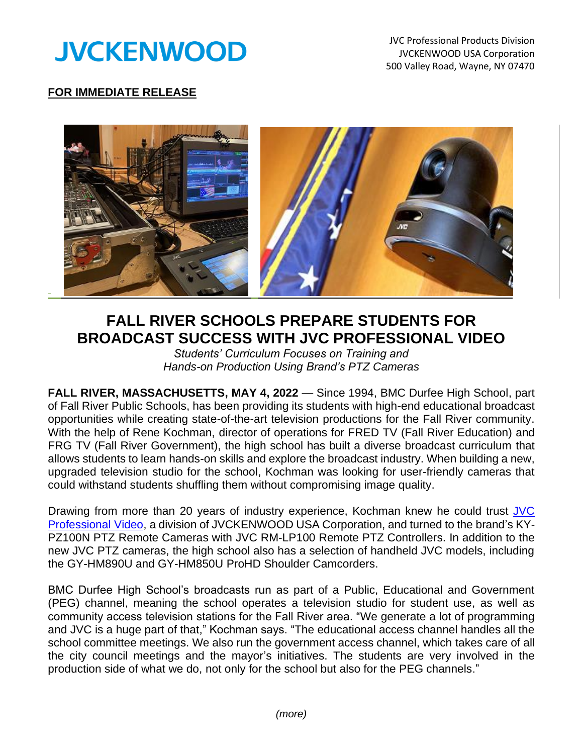

## **FOR IMMEDIATE RELEASE**



## **FALL RIVER SCHOOLS PREPARE STUDENTS FOR BROADCAST SUCCESS WITH JVC PROFESSIONAL VIDEO**

*Students' Curriculum Focuses on Training and Hands-on Production Using Brand's PTZ Cameras* 

**FALL RIVER, MASSACHUSETTS, MAY 4, 2022** — Since 1994, BMC Durfee High School, part of Fall River Public Schools, has been providing its students with high-end educational broadcast opportunities while creating state-of-the-art television productions for the Fall River community. With the help of Rene Kochman, director of operations for FRED TV (Fall River Education) and FRG TV (Fall River Government), the high school has built a diverse broadcast curriculum that allows students to learn hands-on skills and explore the broadcast industry. When building a new, upgraded television studio for the school, Kochman was looking for user-friendly cameras that could withstand students shuffling them without compromising image quality.

Drawing from more than 20 years of industry experience, Kochman knew he could trust JVC [Professional](http://pro.jvc.com/prof/main.jsp) Video, a division of JVCKENWOOD USA Corporation, and turned to the brand's KY-PZ100N PTZ Remote Cameras with JVC RM-LP100 Remote PTZ Controllers. In addition to the new JVC PTZ cameras, the high school also has a selection of handheld JVC models, including the GY-HM890U and GY-HM850U ProHD Shoulder Camcorders.

BMC Durfee High School's broadcasts run as part of a Public, Educational and Government (PEG) channel, meaning the school operates a television studio for student use, as well as community access television stations for the Fall River area. "We generate a lot of programming and JVC is a huge part of that," Kochman says. "The educational access channel handles all the school committee meetings. We also run the government access channel, which takes care of all the city council meetings and the mayor's initiatives. The students are very involved in the production side of what we do, not only for the school but also for the PEG channels."